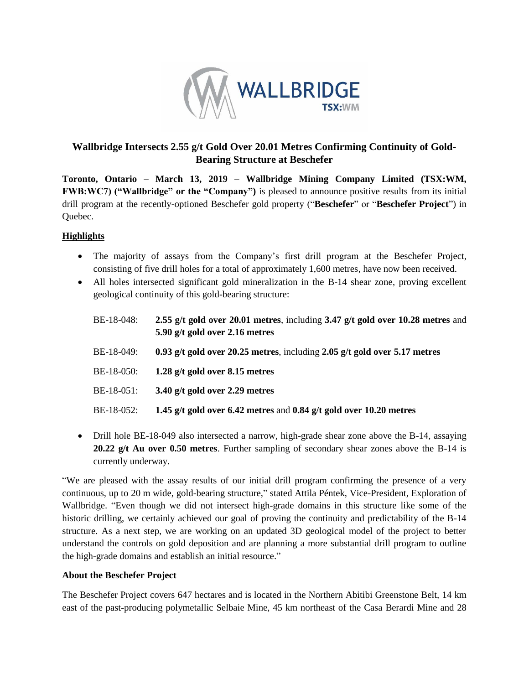

# **Wallbridge Intersects 2.55 g/t Gold Over 20.01 Metres Confirming Continuity of Gold-Bearing Structure at Beschefer**

**Toronto, Ontario – March 13, 2019 – Wallbridge Mining Company Limited (TSX:WM, FWB:WC7) ("Wallbridge" or the "Company")** is pleased to announce positive results from its initial drill program at the recently-optioned Beschefer gold property ("**Beschefer**" or "**Beschefer Project**") in Quebec.

### **Highlights**

- The majority of assays from the Company's first drill program at the Beschefer Project, consisting of five drill holes for a total of approximately 1,600 metres, have now been received.
- All holes intersected significant gold mineralization in the B-14 shear zone, proving excellent geological continuity of this gold-bearing structure:

| BE-18-048: | 2.55 g/t gold over 20.01 metres, including 3.47 g/t gold over 10.28 metres and<br>5.90 g/t gold over 2.16 metres |
|------------|------------------------------------------------------------------------------------------------------------------|
| BE-18-049: | 0.93 g/t gold over 20.25 metres, including 2.05 g/t gold over 5.17 metres                                        |
| BE-18-050: | 1.28 $g/t$ gold over 8.15 metres                                                                                 |
| BE-18-051: | 3.40 g/t gold over 2.29 metres                                                                                   |
| BE-18-052: | 1.45 g/t gold over 6.42 metres and 0.84 g/t gold over 10.20 metres                                               |

• Drill hole BE-18-049 also intersected a narrow, high-grade shear zone above the B-14, assaying **20.22 g/t Au over 0.50 metres**. Further sampling of secondary shear zones above the B-14 is currently underway.

"We are pleased with the assay results of our initial drill program confirming the presence of a very continuous, up to 20 m wide, gold-bearing structure," stated Attila Péntek, Vice-President, Exploration of Wallbridge. "Even though we did not intersect high-grade domains in this structure like some of the historic drilling, we certainly achieved our goal of proving the continuity and predictability of the B-14 structure. As a next step, we are working on an updated 3D geological model of the project to better understand the controls on gold deposition and are planning a more substantial drill program to outline the high-grade domains and establish an initial resource."

### **About the Beschefer Project**

The Beschefer Project covers 647 hectares and is located in the Northern Abitibi Greenstone Belt, 14 km east of the past-producing polymetallic Selbaie Mine, 45 km northeast of the Casa Berardi Mine and 28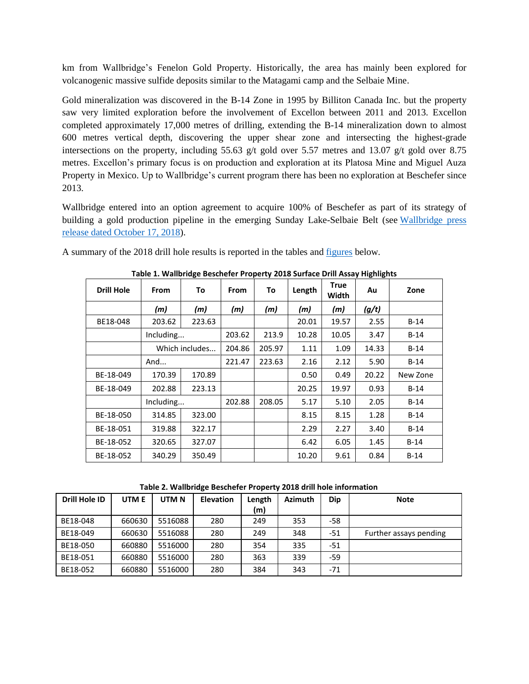km from Wallbridge's Fenelon Gold Property. Historically, the area has mainly been explored for volcanogenic massive sulfide deposits similar to the Matagami camp and the Selbaie Mine.

Gold mineralization was discovered in the B-14 Zone in 1995 by Billiton Canada Inc. but the property saw very limited exploration before the involvement of Excellon between 2011 and 2013. Excellon completed approximately 17,000 metres of drilling, extending the B-14 mineralization down to almost 600 metres vertical depth, discovering the upper shear zone and intersecting the highest-grade intersections on the property, including 55.63 g/t gold over 5.57 metres and 13.07 g/t gold over 8.75 metres. Excellon's primary focus is on production and exploration at its Platosa Mine and Miguel Auza Property in Mexico. Up to Wallbridge's current program there has been no exploration at Beschefer since 2013.

Wallbridge entered into an option agreement to acquire 100% of Beschefer as part of its strategy of building a gold production pipeline in the emerging Sunday Lake-Selbaie Belt (see [Wallbridge press](http://www.wallbridgemining.com/s/press-releases.asp?ReportID=838297&_Type=Press-Releases&_Title=Wallbridge-Options-100-of-the-Beschefer-Project-near-Fenelon-Gold)  [release dated October 17, 2018\)](http://www.wallbridgemining.com/s/press-releases.asp?ReportID=838297&_Type=Press-Releases&_Title=Wallbridge-Options-100-of-the-Beschefer-Project-near-Fenelon-Gold).

A summary of the 2018 drill hole results is reported in the tables and [figures](https://www.wallbridgemining.com/i/maps/beschefer/20190312_Beschefer-Combined-figures.pdf) below.

| <b>Drill Hole</b> | <b>From</b>    | To     | <b>From</b> | To     | Length | <b>True</b><br>Width | Au    | Zone     |
|-------------------|----------------|--------|-------------|--------|--------|----------------------|-------|----------|
|                   | (m)            | (m)    | (m)         | (m)    | (m)    | (m)                  | (g/t) |          |
| BE18-048          | 203.62         | 223.63 |             |        | 20.01  | 19.57                | 2.55  | $B-14$   |
|                   | Including      |        | 203.62      | 213.9  | 10.28  | 10.05                | 3.47  | $B-14$   |
|                   | Which includes |        | 204.86      | 205.97 | 1.11   | 1.09                 | 14.33 | $B-14$   |
|                   | And            |        | 221.47      | 223.63 | 2.16   | 2.12                 | 5.90  | $B-14$   |
| BE-18-049         | 170.39         | 170.89 |             |        | 0.50   | 0.49                 | 20.22 | New Zone |
| BE-18-049         | 202.88         | 223.13 |             |        | 20.25  | 19.97                | 0.93  | $B-14$   |
|                   | Including      |        | 202.88      | 208.05 | 5.17   | 5.10                 | 2.05  | $B-14$   |
| BE-18-050         | 314.85         | 323.00 |             |        | 8.15   | 8.15                 | 1.28  | $B-14$   |
| BE-18-051         | 319.88         | 322.17 |             |        | 2.29   | 2.27                 | 3.40  | $B-14$   |
| BE-18-052         | 320.65         | 327.07 |             |        | 6.42   | 6.05                 | 1.45  | $B-14$   |
| BE-18-052         | 340.29         | 350.49 |             |        | 10.20  | 9.61                 | 0.84  | $B-14$   |

**Table 1. Wallbridge Beschefer Property 2018 Surface Drill Assay Highlights**

**Table 2. Wallbridge Beschefer Property 2018 drill hole information**

| Drill Hole ID | UTM E  | UTM <sub>N</sub> | <b>Elevation</b> | Length<br>(m) | <b>Azimuth</b> | <b>Dip</b> | <b>Note</b>            |
|---------------|--------|------------------|------------------|---------------|----------------|------------|------------------------|
| BE18-048      | 660630 | 5516088          | 280              | 249           | 353            | -58        |                        |
| BE18-049      | 660630 | 5516088          | 280              | 249           | 348            | -51        | Further assays pending |
| BE18-050      | 660880 | 5516000          | 280              | 354           | 335            | $-51$      |                        |
| BE18-051      | 660880 | 5516000          | 280              | 363           | 339            | -59        |                        |
| BE18-052      | 660880 | 5516000          | 280              | 384           | 343            | $-71$      |                        |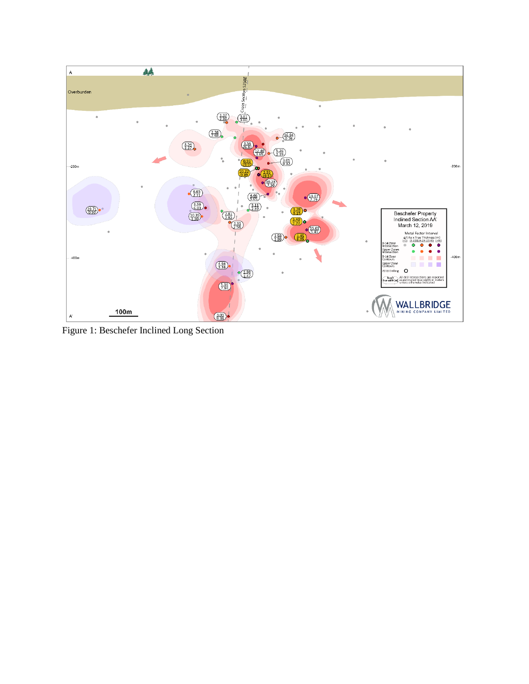

Figure 1: Beschefer Inclined Long Section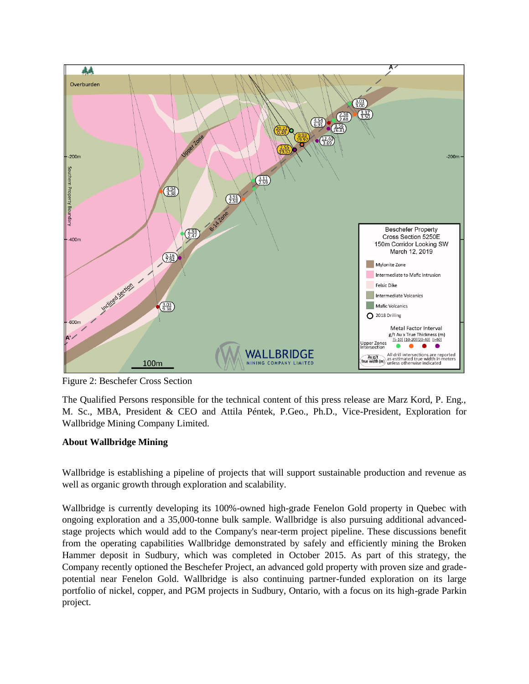

Figure 2: Beschefer Cross Section

The Qualified Persons responsible for the technical content of this press release are Marz Kord, P. Eng., M. Sc., MBA, President & CEO and Attila Péntek, P.Geo., Ph.D., Vice-President, Exploration for Wallbridge Mining Company Limited.

## **About Wallbridge Mining**

Wallbridge is establishing a pipeline of projects that will support sustainable production and revenue as well as organic growth through exploration and scalability.

Wallbridge is currently developing its 100%-owned high-grade Fenelon Gold property in Quebec with ongoing exploration and a 35,000-tonne bulk sample. Wallbridge is also pursuing additional advancedstage projects which would add to the Company's near-term project pipeline. These discussions benefit from the operating capabilities Wallbridge demonstrated by safely and efficiently mining the Broken Hammer deposit in Sudbury, which was completed in October 2015. As part of this strategy, the Company recently optioned the Beschefer Project, an advanced gold property with proven size and gradepotential near Fenelon Gold. Wallbridge is also continuing partner-funded exploration on its large portfolio of nickel, copper, and PGM projects in Sudbury, Ontario, with a focus on its high-grade Parkin project.